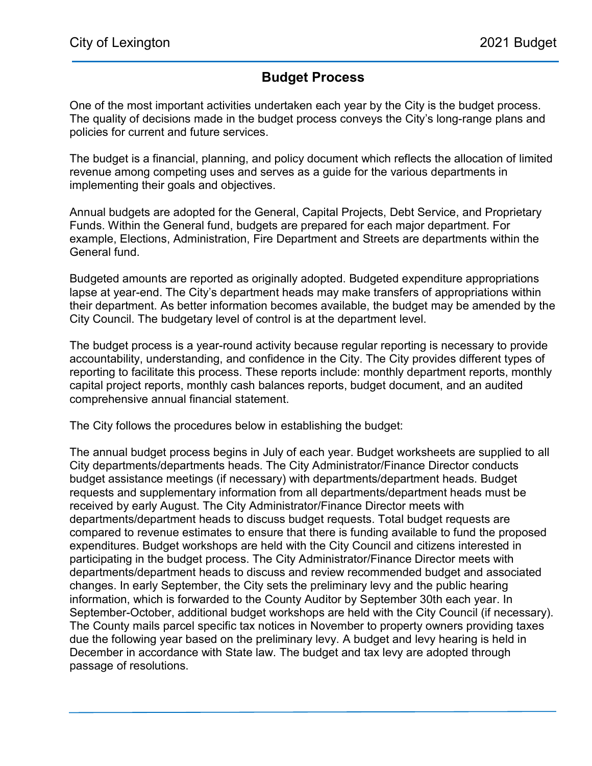## Budget Process

One of the most important activities undertaken each year by the City is the budget process. The quality of decisions made in the budget process conveys the City's long-range plans and policies for current and future services.

The budget is a financial, planning, and policy document which reflects the allocation of limited revenue among competing uses and serves as a guide for the various departments in implementing their goals and objectives.

Annual budgets are adopted for the General, Capital Projects, Debt Service, and Proprietary Funds. Within the General fund, budgets are prepared for each major department. For example, Elections, Administration, Fire Department and Streets are departments within the General fund.

Budgeted amounts are reported as originally adopted. Budgeted expenditure appropriations lapse at year-end. The City's department heads may make transfers of appropriations within their department. As better information becomes available, the budget may be amended by the City Council. The budgetary level of control is at the department level.

The budget process is a year-round activity because regular reporting is necessary to provide accountability, understanding, and confidence in the City. The City provides different types of reporting to facilitate this process. These reports include: monthly department reports, monthly capital project reports, monthly cash balances reports, budget document, and an audited comprehensive annual financial statement.

The City follows the procedures below in establishing the budget:

The annual budget process begins in July of each year. Budget worksheets are supplied to all City departments/departments heads. The City Administrator/Finance Director conducts budget assistance meetings (if necessary) with departments/department heads. Budget requests and supplementary information from all departments/department heads must be received by early August. The City Administrator/Finance Director meets with departments/department heads to discuss budget requests. Total budget requests are compared to revenue estimates to ensure that there is funding available to fund the proposed expenditures. Budget workshops are held with the City Council and citizens interested in participating in the budget process. The City Administrator/Finance Director meets with departments/department heads to discuss and review recommended budget and associated changes. In early September, the City sets the preliminary levy and the public hearing information, which is forwarded to the County Auditor by September 30th each year. In September-October, additional budget workshops are held with the City Council (if necessary). The County mails parcel specific tax notices in November to property owners providing taxes due the following year based on the preliminary levy. A budget and levy hearing is held in December in accordance with State law. The budget and tax levy are adopted through passage of resolutions.